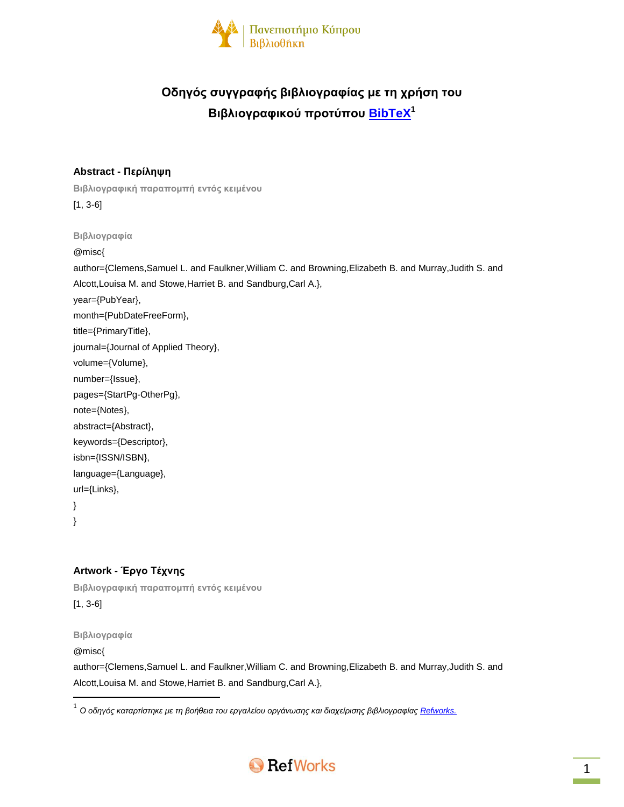

# **Οδηγός συγγραφής βιβλιογραφίας με τη χρήση του Βιβλιογραφικού προτύπου [BibTeX](http://www.bibtex.org/) 1**

### **Abstract - Περίληψη**

**Βιβλιογραφική παραπομπή εντός κειμένου** [1, 3-6]

**Βιβλιογραφία**

@misc{

author={Clemens,Samuel L. and Faulkner,William C. and Browning,Elizabeth B. and Murray,Judith S. and Alcott,Louisa M. and Stowe,Harriet B. and Sandburg,Carl A.}, year={PubYear}, month={PubDateFreeForm}, title={PrimaryTitle}, journal={Journal of Applied Theory}, volume={Volume}, number={Issue}, pages={StartPg-OtherPg}, note={Notes}, abstract={Abstract}, keywords={Descriptor}, isbn={ISSN/ISBN}, language={Language},

}

url={Links},

}

### **Artwork - Έργο Τέχνης**

**Βιβλιογραφική παραπομπή εντός κειμένου** [1, 3-6]

**Βιβλιογραφία**

@misc{

 $\overline{\phantom{a}}$ 

author={Clemens,Samuel L. and Faulkner,William C. and Browning,Elizabeth B. and Murray,Judith S. and Alcott,Louisa M. and Stowe,Harriet B. and Sandburg,Carl A.},

<sup>.&</sup>lt;br><sup>1</sup> Ο οδηγός καταρτίστηκε με τη βοήθεια του εργαλείου οργάνωσης και διαχείρισης βιβλιογραφίας <u>Refworks.</u>

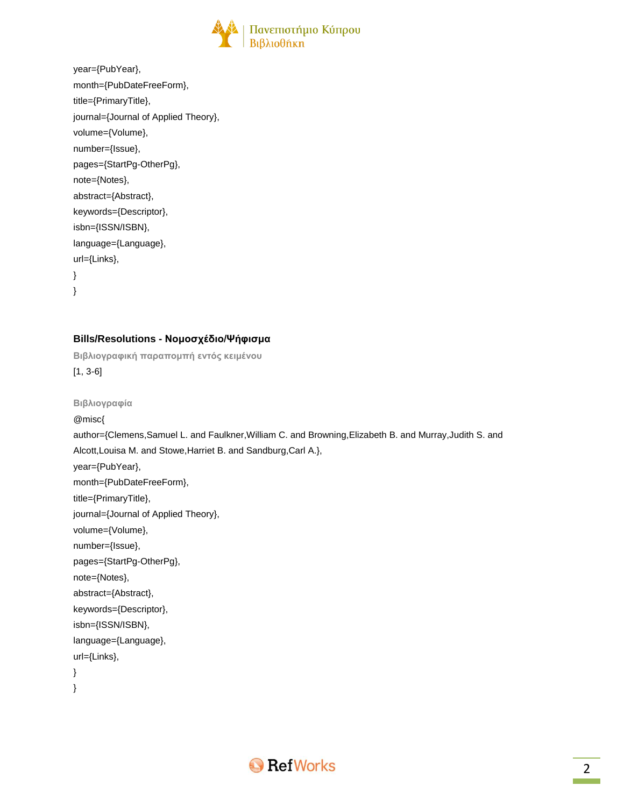

| year={PubYear},                      |
|--------------------------------------|
| month={PubDateFreeForm},             |
| title={PrimaryTitle},                |
| journal={Journal of Applied Theory}, |
| volume={Volume},                     |
| number={Issue},                      |
| pages={StartPg-OtherPg},             |
| note={Notes},                        |
| abstract={Abstract},                 |
| keywords={Descriptor},               |
| isbn={ISSN/ISBN},                    |
| language={Language},                 |
| url={Links},                         |
| ł                                    |
| ł                                    |
|                                      |

### **Bills/Resolutions - Νομοσχέδιο/Ψήφισμα**

```
Βιβλιογραφική παραπομπή εντός κειμένου
[1, 3-6]
```

```
Βιβλιογραφία
@misc{
author={Clemens,Samuel L. and Faulkner,William C. and Browning,Elizabeth B. and Murray,Judith S. and
Alcott,Louisa M. and Stowe,Harriet B. and Sandburg,Carl A.},
year={PubYear},
month={PubDateFreeForm},
title={PrimaryTitle},
journal={Journal of Applied Theory},
volume={Volume},
number={Issue},
pages={StartPg-OtherPg},
note={Notes},
abstract={Abstract},
keywords={Descriptor},
isbn={ISSN/ISBN},
language={Language},
url={Links},
}
}
```
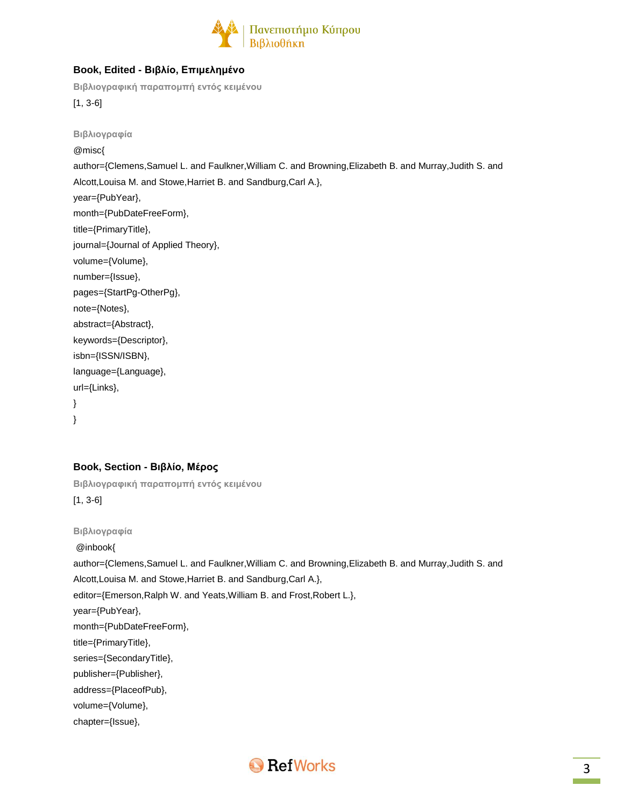

### **Book, Edited - Βιβλίο, Επιμελημένο**

**Βιβλιογραφική παραπομπή εντός κειμένου**

[1, 3-6]

**Βιβλιογραφία** @misc{ author={Clemens,Samuel L. and Faulkner,William C. and Browning,Elizabeth B. and Murray,Judith S. and Alcott,Louisa M. and Stowe,Harriet B. and Sandburg,Carl A.}, year={PubYear}, month={PubDateFreeForm}, title={PrimaryTitle}, journal={Journal of Applied Theory}, volume={Volume}, number={Issue}, pages={StartPg-OtherPg}, note={Notes}, abstract={Abstract}, keywords={Descriptor}, isbn={ISSN/ISBN}, language={Language}, url={Links}, }

}

#### **Book, Section - Βιβλίο, Μέρος**

**Βιβλιογραφική παραπομπή εντός κειμένου** [1, 3-6]

**Βιβλιογραφία** @inbook{ author={Clemens,Samuel L. and Faulkner,William C. and Browning,Elizabeth B. and Murray,Judith S. and Alcott,Louisa M. and Stowe,Harriet B. and Sandburg,Carl A.}, editor={Emerson,Ralph W. and Yeats,William B. and Frost,Robert L.}, year={PubYear}, month={PubDateFreeForm}, title={PrimaryTitle}, series={SecondaryTitle}, publisher={Publisher}, address={PlaceofPub}, volume={Volume}, chapter={Issue},

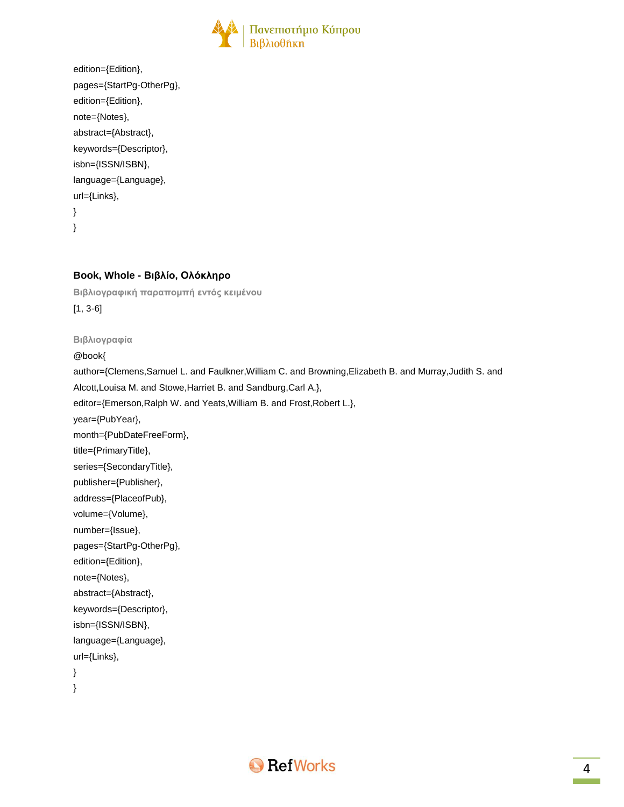

| edition={Edition},       |
|--------------------------|
| pages={StartPg-OtherPg}, |
| edition={Edition},       |
| note={Notes},            |
| abstract={Abstract},     |
| keywords={Descriptor},   |
| isbn={ISSN/ISBN},        |
| language={Language},     |
| $url = {Links}$ ,        |
| λ                        |
| λ                        |
|                          |

### **Book, Whole - Βιβλίο, Ολόκληρο**

**Βιβλιογραφική παραπομπή εντός κειμένου** [1, 3-6]

**Βιβλιογραφία**

@book{

author={Clemens,Samuel L. and Faulkner,William C. and Browning,Elizabeth B. and Murray,Judith S. and Alcott,Louisa M. and Stowe,Harriet B. and Sandburg,Carl A.}, editor={Emerson,Ralph W. and Yeats,William B. and Frost,Robert L.}, year={PubYear}, month={PubDateFreeForm}, title={PrimaryTitle}, series={SecondaryTitle}, publisher={Publisher}, address={PlaceofPub}, volume={Volume}, number={Issue}, pages={StartPg-OtherPg}, edition={Edition}, note={Notes}, abstract={Abstract}, keywords={Descriptor}, isbn={ISSN/ISBN}, language={Language}, url={Links}, }

}

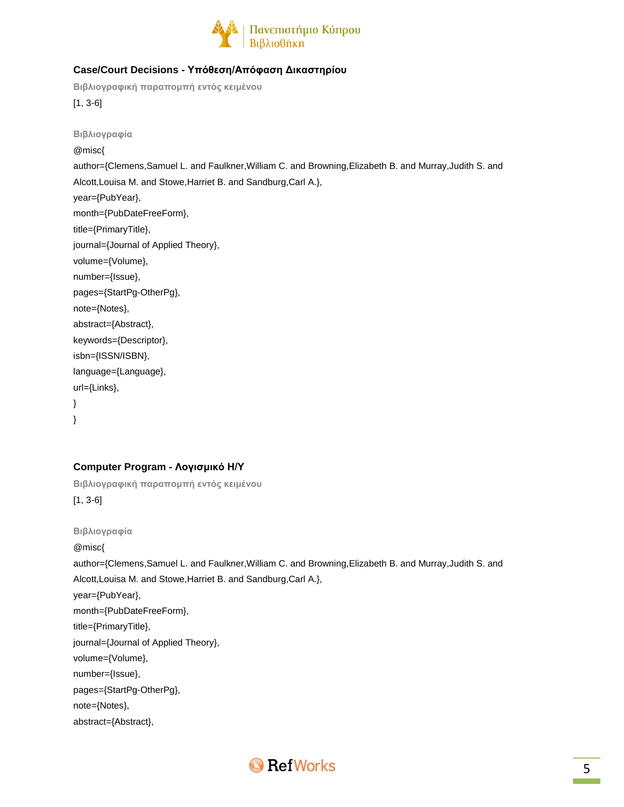

### **Case/Court Decisions - Υπόθεση/Απόφαση Δικαστηρίου**

**Βιβλιογραφική παραπομπή εντός κειμένου**

[1, 3-6]

**Βιβλιογραφία** @misc{ author={Clemens,Samuel L. and Faulkner,William C. and Browning,Elizabeth B. and Murray,Judith S. and Alcott,Louisa M. and Stowe,Harriet B. and Sandburg,Carl A.}, year={PubYear}, month={PubDateFreeForm}, title={PrimaryTitle}, journal={Journal of Applied Theory}, volume={Volume}, number={Issue}, pages={StartPg-OtherPg}, note={Notes}, abstract={Abstract}, keywords={Descriptor}, isbn={ISSN/ISBN}, language={Language}, url={Links}, }

}

### **Computer Program - Λογισμικό Η/Υ**

**Βιβλιογραφική παραπομπή εντός κειμένου** [1, 3-6]

**Βιβλιογραφία**

@misc{

author={Clemens,Samuel L. and Faulkner,William C. and Browning,Elizabeth B. and Murray,Judith S. and Alcott,Louisa M. and Stowe,Harriet B. and Sandburg,Carl A.},

year={PubYear},

month={PubDateFreeForm},

title={PrimaryTitle},

journal={Journal of Applied Theory},

volume={Volume},

number={Issue},

pages={StartPg-OtherPg},

note={Notes},

abstract={Abstract},

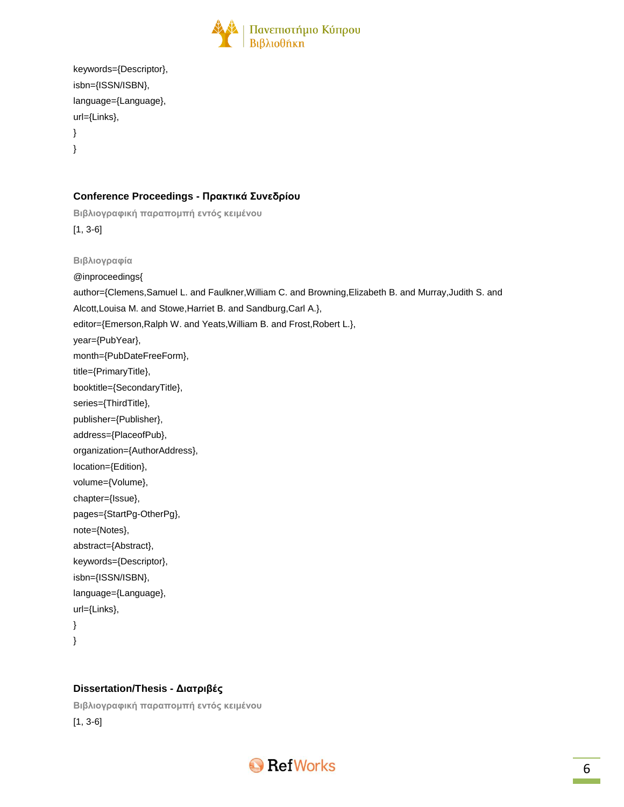

```
keywords={Descriptor},
isbn={ISSN/ISBN},
language={Language},
url={Links},
}
```
}

### **Conference Proceedings - Πρακτικά Συνεδρίου**

**Βιβλιογραφική παραπομπή εντός κειμένου** [1, 3-6] **Βιβλιογραφία** @inproceedings{ author={Clemens,Samuel L. and Faulkner,William C. and Browning,Elizabeth B. and Murray,Judith S. and Alcott,Louisa M. and Stowe,Harriet B. and Sandburg,Carl A.}, editor={Emerson,Ralph W. and Yeats,William B. and Frost,Robert L.}, year={PubYear}, month={PubDateFreeForm}, title={PrimaryTitle}, booktitle={SecondaryTitle}, series={ThirdTitle}, publisher={Publisher}, address={PlaceofPub}, organization={AuthorAddress}, location={Edition}, volume={Volume}, chapter={Issue}, pages={StartPg-OtherPg}, note={Notes}, abstract={Abstract}, keywords={Descriptor}, isbn={ISSN/ISBN}, language={Language}, url={Links}, }

}

#### **Dissertation/Thesis - Διατριβές**

**Βιβλιογραφική παραπομπή εντός κειμένου** [1, 3-6]

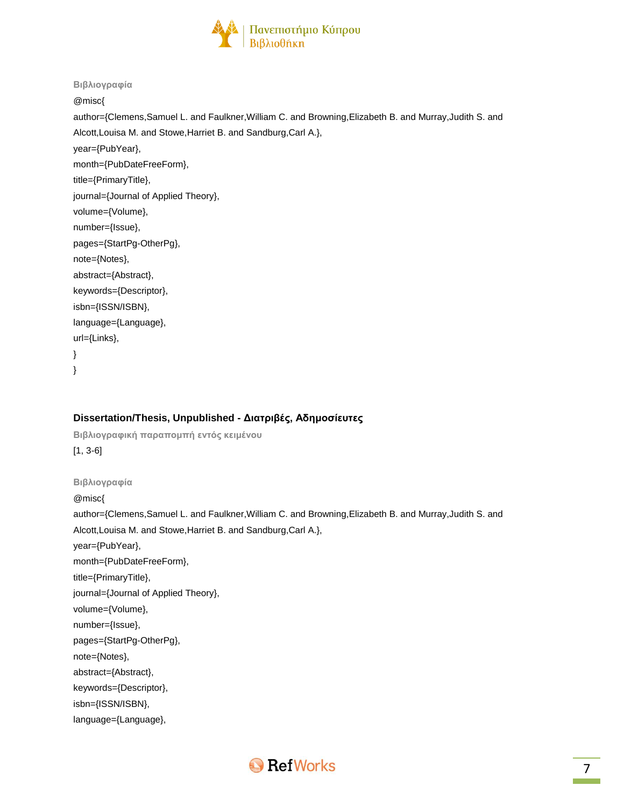

#### **Βιβλιογραφία**

@misc{

author={Clemens,Samuel L. and Faulkner,William C. and Browning,Elizabeth B. and Murray,Judith S. and Alcott,Louisa M. and Stowe,Harriet B. and Sandburg,Carl A.},

year={PubYear},

month={PubDateFreeForm},

title={PrimaryTitle},

journal={Journal of Applied Theory},

volume={Volume},

number={Issue},

pages={StartPg-OtherPg},

note={Notes},

url={Links},

abstract={Abstract},

keywords={Descriptor},

isbn={ISSN/ISBN},

language={Language},

}

}

#### **Dissertation/Thesis, Unpublished - Διατριβές, Αδημοσίευτες**

**Βιβλιογραφική παραπομπή εντός κειμένου** [1, 3-6]

**Βιβλιογραφία**

@misc{

author={Clemens,Samuel L. and Faulkner,William C. and Browning,Elizabeth B. and Murray,Judith S. and Alcott,Louisa M. and Stowe,Harriet B. and Sandburg,Carl A.}, year={PubYear},

month={PubDateFreeForm},

title={PrimaryTitle},

journal={Journal of Applied Theory},

volume={Volume},

number={Issue},

pages={StartPg-OtherPg},

note={Notes},

abstract={Abstract},

keywords={Descriptor},

isbn={ISSN/ISBN},

language={Language},

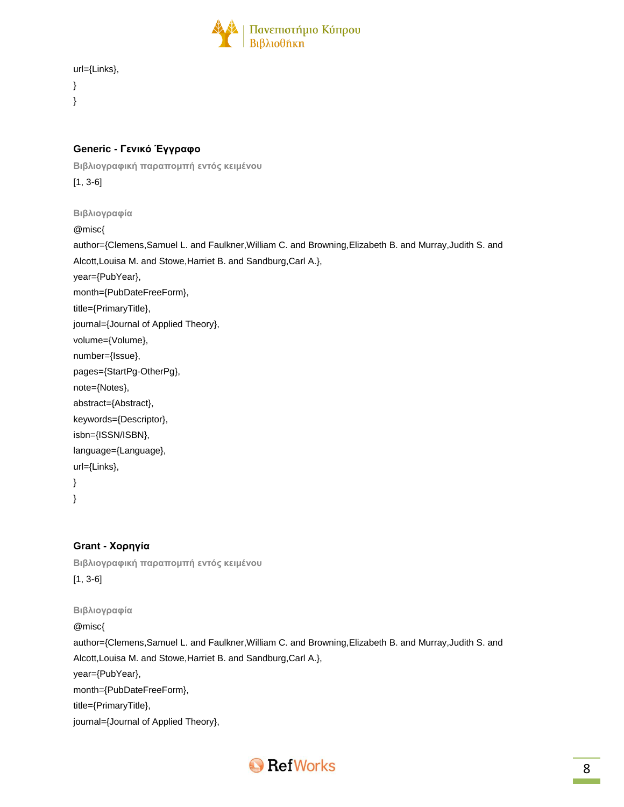

```
url={Links},
```

```
}
}
```
### **Generic - Γενικό Έγγραφο**

**Βιβλιογραφική παραπομπή εντός κειμένου**

[1, 3-6]

**Βιβλιογραφία**

@misc{

author={Clemens,Samuel L. and Faulkner,William C. and Browning,Elizabeth B. and Murray,Judith S. and Alcott,Louisa M. and Stowe,Harriet B. and Sandburg,Carl A.}, year={PubYear}, month={PubDateFreeForm}, title={PrimaryTitle}, journal={Journal of Applied Theory}, volume={Volume}, number={Issue}, pages={StartPg-OtherPg}, note={Notes}, abstract={Abstract}, keywords={Descriptor}, isbn={ISSN/ISBN}, language={Language}, url={Links},

} }

### **Grant - Χορηγία**

**Βιβλιογραφική παραπομπή εντός κειμένου** [1, 3-6]

**Βιβλιογραφία**

@misc{ author={Clemens,Samuel L. and Faulkner,William C. and Browning,Elizabeth B. and Murray,Judith S. and Alcott,Louisa M. and Stowe,Harriet B. and Sandburg,Carl A.}, year={PubYear}, month={PubDateFreeForm}, title={PrimaryTitle}, journal={Journal of Applied Theory},

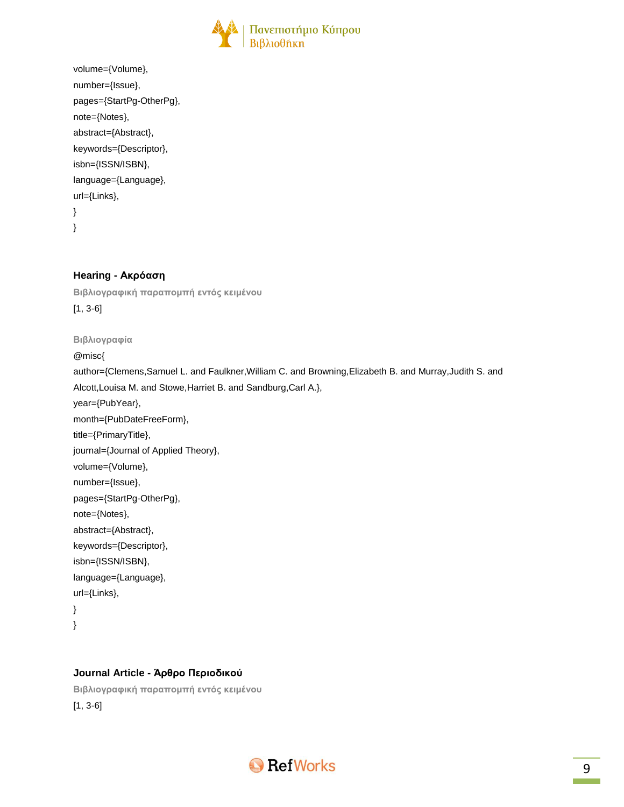

```
volume={Volume},
number={Issue},
pages={StartPg-OtherPg},
note={Notes},
abstract={Abstract},
keywords={Descriptor},
isbn={ISSN/ISBN},
language={Language},
url={Links},
}
}
```
### **Hearing - Ακρόαση**

**Βιβλιογραφική παραπομπή εντός κειμένου** [1, 3-6]

#### **Βιβλιογραφία**

@misc{

author={Clemens,Samuel L. and Faulkner,William C. and Browning,Elizabeth B. and Murray,Judith S. and Alcott,Louisa M. and Stowe,Harriet B. and Sandburg,Carl A.}, year={PubYear},

month={PubDateFreeForm}, title={PrimaryTitle}, journal={Journal of Applied Theory}, volume={Volume}, number={Issue}, pages={StartPg-OtherPg}, note={Notes}, abstract={Abstract}, keywords={Descriptor}, isbn={ISSN/ISBN}, language={Language}, url={Links}, }

}

#### **Journal Article - Άρθρο Περιοδικού**

**Βιβλιογραφική παραπομπή εντός κειμένου** [1, 3-6]

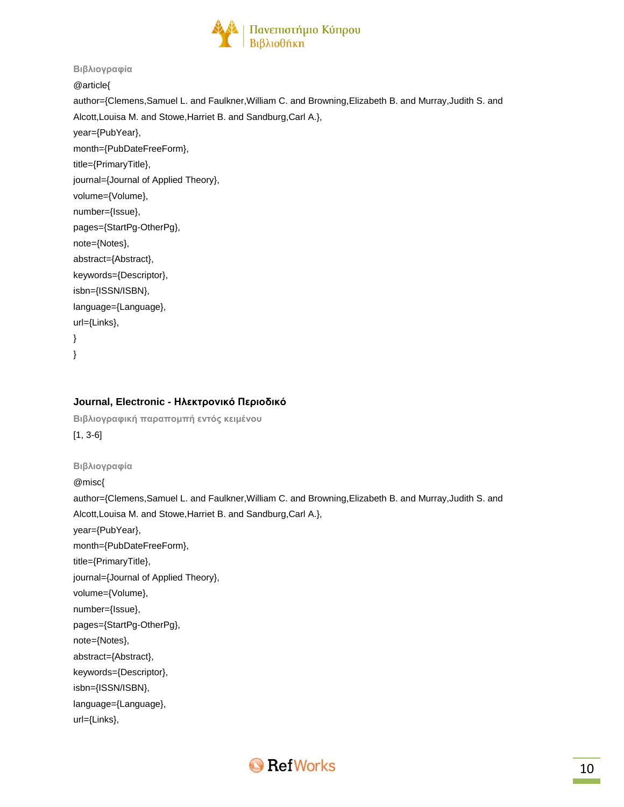

#### **Βιβλιογραφία**

@article{

author={Clemens,Samuel L. and Faulkner,William C. and Browning,Elizabeth B. and Murray,Judith S. and Alcott,Louisa M. and Stowe,Harriet B. and Sandburg,Carl A.},

year={PubYear},

month={PubDateFreeForm},

title={PrimaryTitle},

journal={Journal of Applied Theory},

volume={Volume},

number={Issue},

pages={StartPg-OtherPg}, note={Notes},

abstract={Abstract},

keywords={Descriptor},

isbn={ISSN/ISBN},

language={Language},

url={Links},

} }

#### **Journal, Electronic - Ηλεκτρονικό Περιοδικό**

**Βιβλιογραφική παραπομπή εντός κειμένου**

[1, 3-6]

**Βιβλιογραφία**

@misc{

author={Clemens,Samuel L. and Faulkner,William C. and Browning,Elizabeth B. and Murray,Judith S. and Alcott,Louisa M. and Stowe,Harriet B. and Sandburg,Carl A.},

year={PubYear},

month={PubDateFreeForm},

title={PrimaryTitle},

journal={Journal of Applied Theory},

volume={Volume},

number={Issue},

pages={StartPg-OtherPg},

note={Notes},

abstract={Abstract},

keywords={Descriptor},

isbn={ISSN/ISBN},

language={Language},

url={Links},

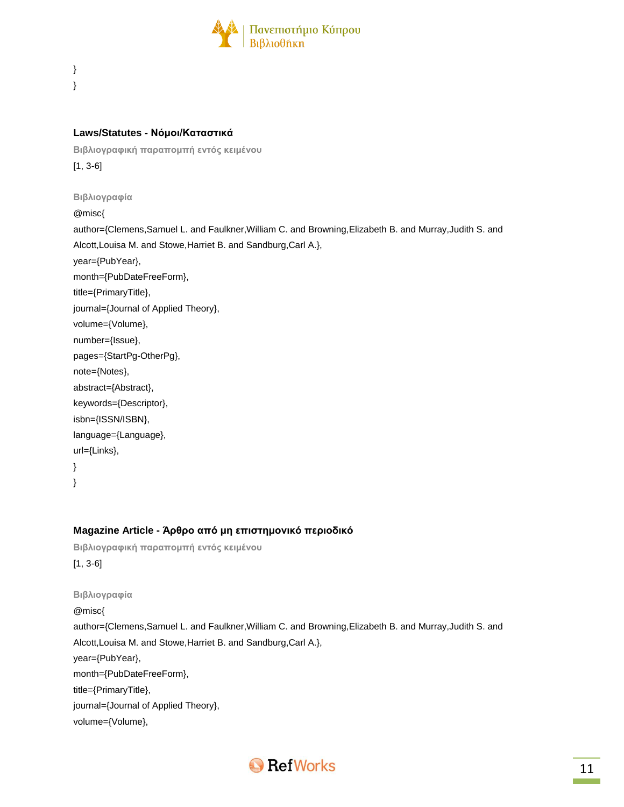

} }

#### **Laws/Statutes - Νόμοι/Καταστικά**

**Βιβλιογραφική παραπομπή εντός κειμένου** [1, 3-6]

**Βιβλιογραφία**

@misc{

author={Clemens,Samuel L. and Faulkner,William C. and Browning,Elizabeth B. and Murray,Judith S. and Alcott,Louisa M. and Stowe,Harriet B. and Sandburg,Carl A.}, year={PubYear}, month={PubDateFreeForm}, title={PrimaryTitle}, journal={Journal of Applied Theory}, volume={Volume}, number={Issue}, pages={StartPg-OtherPg}, note={Notes}, abstract={Abstract}, keywords={Descriptor}, isbn={ISSN/ISBN}, language={Language}, url={Links}, }

}

#### **Magazine Article - Άρθρο από μη επιστημονικό περιοδικό**

**Βιβλιογραφική παραπομπή εντός κειμένου**

[1, 3-6]

**Βιβλιογραφία** @misc{ author={Clemens,Samuel L. and Faulkner,William C. and Browning,Elizabeth B. and Murray,Judith S. and Alcott,Louisa M. and Stowe,Harriet B. and Sandburg,Carl A.}, year={PubYear}, month={PubDateFreeForm}, title={PrimaryTitle}, journal={Journal of Applied Theory}, volume={Volume},

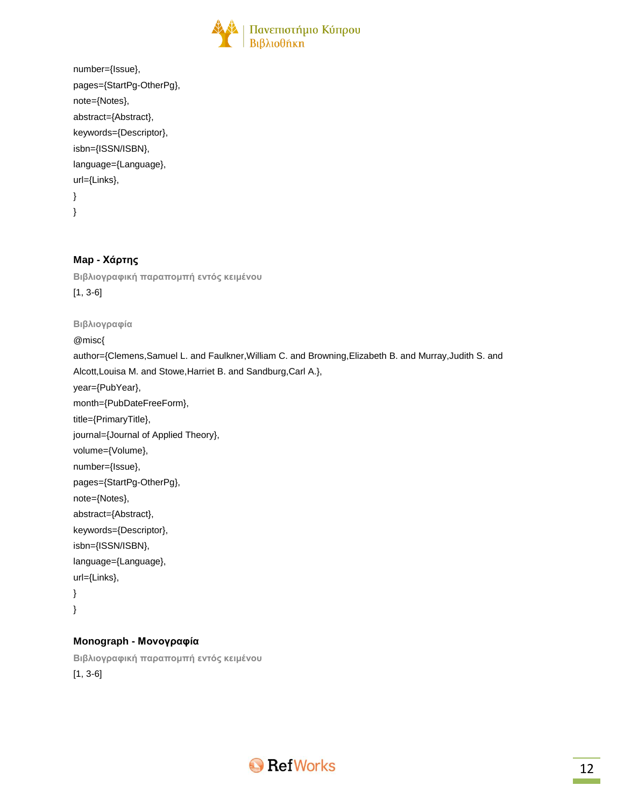

```
number={Issue},
pages={StartPg-OtherPg},
note={Notes},
abstract={Abstract},
keywords={Descriptor},
isbn={ISSN/ISBN},
language={Language},
url={Links},
}
```
}

### **Map - Χάρτης**

**Βιβλιογραφική παραπομπή εντός κειμένου** [1, 3-6]

## **Βιβλιογραφία**

@misc{

author={Clemens,Samuel L. and Faulkner,William C. and Browning,Elizabeth B. and Murray,Judith S. and Alcott,Louisa M. and Stowe,Harriet B. and Sandburg,Carl A.}, year={PubYear}, month={PubDateFreeForm}, title={PrimaryTitle}, journal={Journal of Applied Theory}, volume={Volume}, number={Issue}, pages={StartPg-OtherPg}, note={Notes}, abstract={Abstract}, keywords={Descriptor}, isbn={ISSN/ISBN}, language={Language}, url={Links}, } }

### **Monograph - Μονογραφία**

**Βιβλιογραφική παραπομπή εντός κειμένου** [1, 3-6]

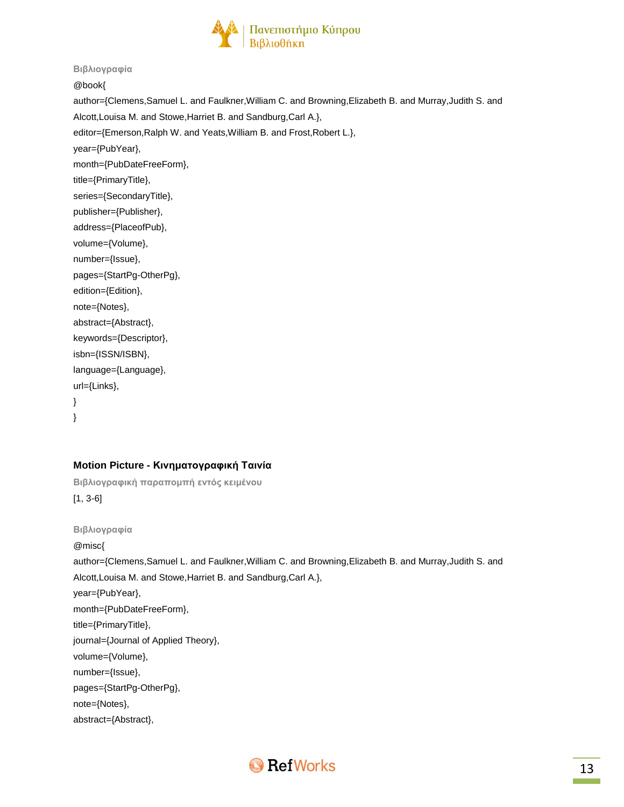

#### **Βιβλιογραφία**

@book{

author={Clemens,Samuel L. and Faulkner,William C. and Browning,Elizabeth B. and Murray,Judith S. and Alcott,Louisa M. and Stowe,Harriet B. and Sandburg,Carl A.}, editor={Emerson,Ralph W. and Yeats,William B. and Frost,Robert L.}, year={PubYear}, month={PubDateFreeForm}, title={PrimaryTitle}, series={SecondaryTitle}, publisher={Publisher}, address={PlaceofPub}, volume={Volume}, number={Issue}, pages={StartPg-OtherPg}, edition={Edition}, note={Notes}, abstract={Abstract}, keywords={Descriptor}, isbn={ISSN/ISBN}, language={Language}, url={Links}, }

### }

### **Motion Picture - Κινηματογραφική Ταινία**

**Βιβλιογραφική παραπομπή εντός κειμένου** [1, 3-6]

**Βιβλιογραφία** @misc{ author={Clemens,Samuel L. and Faulkner,William C. and Browning,Elizabeth B. and Murray,Judith S. and Alcott,Louisa M. and Stowe,Harriet B. and Sandburg,Carl A.}, year={PubYear}, month={PubDateFreeForm}, title={PrimaryTitle}, journal={Journal of Applied Theory}, volume={Volume}, number={Issue}, pages={StartPg-OtherPg}, note={Notes}, abstract={Abstract},

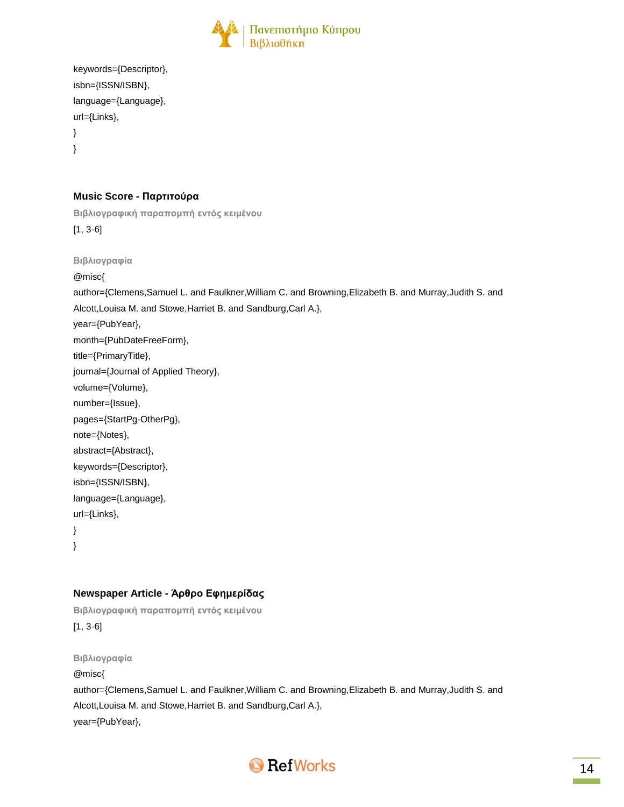

```
keywords={Descriptor},
isbn={ISSN/ISBN},
language={Language},
url={Links},
}
}
```
### **Music Score - Παρτιτούρα**

```
Βιβλιογραφική παραπομπή εντός κειμένου
[1, 3-6]
Βιβλιογραφία
@misc{
author={Clemens,Samuel L. and Faulkner,William C. and Browning,Elizabeth B. and Murray,Judith S. and
Alcott,Louisa M. and Stowe,Harriet B. and Sandburg,Carl A.},
```
year={PubYear},

month={PubDateFreeForm},

title={PrimaryTitle},

journal={Journal of Applied Theory},

volume={Volume},

```
number={Issue},
```
pages={StartPg-OtherPg},

```
note={Notes},
```
abstract={Abstract},

```
keywords={Descriptor},
```
isbn={ISSN/ISBN},

language={Language},

url={Links}, }

}

### **Newspaper Article - Άρθρο Εφημερίδας**

**Βιβλιογραφική παραπομπή εντός κειμένου** [1, 3-6]

**Βιβλιογραφία** @misc{ author={Clemens,Samuel L. and Faulkner,William C. and Browning,Elizabeth B. and Murray,Judith S. and Alcott,Louisa M. and Stowe,Harriet B. and Sandburg,Carl A.}, year={PubYear},

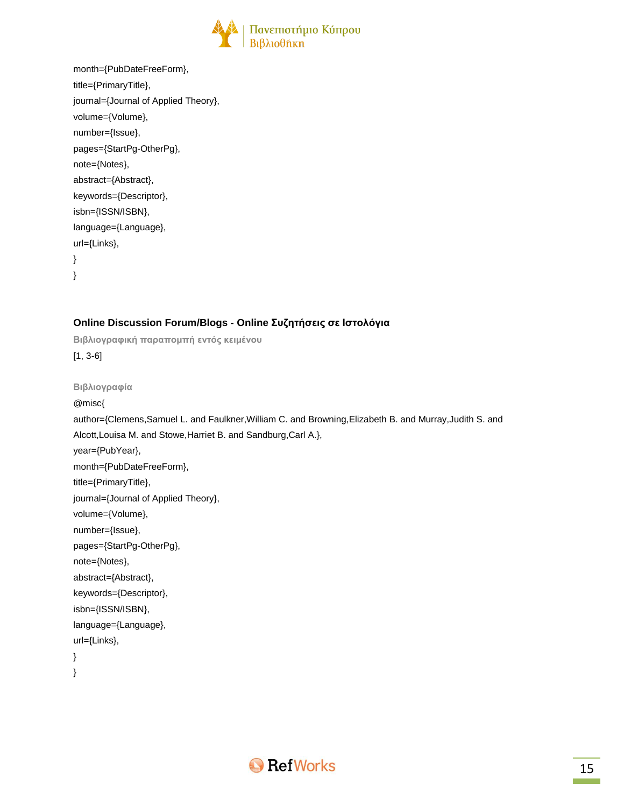

| month={PubDateFreeForm},             |
|--------------------------------------|
| title={PrimaryTitle},                |
| journal={Journal of Applied Theory}, |
| volume={Volume},                     |
| number={lssue},                      |
| pages={StartPg-OtherPg},             |
| note={Notes},                        |
| abstract={Abstract},                 |
| keywords={Descriptor},               |
| isbn={ISSN/ISBN},                    |
| language={Language},                 |
| $url=\{Links\},\$                    |
| ∤                                    |
| ł                                    |
|                                      |

### **Online Discussion Forum/Blogs - Online Συζητήσεις σε Ιστολόγια**

**Βιβλιογραφική παραπομπή εντός κειμένου** [1, 3-6] **Βιβλιογραφία** @misc{ author={Clemens,Samuel L. and Faulkner,William C. and Browning,Elizabeth B. and Murray,Judith S. and Alcott,Louisa M. and Stowe,Harriet B. and Sandburg,Carl A.}, year={PubYear}, month={PubDateFreeForm}, title={PrimaryTitle}, journal={Journal of Applied Theory}, volume={Volume}, number={Issue}, pages={StartPg-OtherPg}, note={Notes}, abstract={Abstract}, keywords={Descriptor}, isbn={ISSN/ISBN}, language={Language}, url={Links}, } }

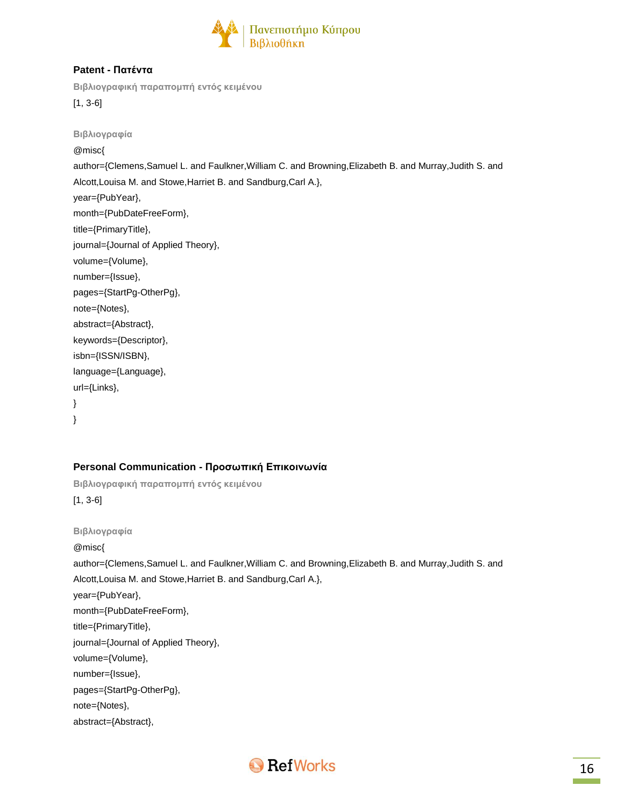

### **Patent - Πατέντα**

**Βιβλιογραφική παραπομπή εντός κειμένου**

[1, 3-6]

**Βιβλιογραφία** @misc{ author={Clemens,Samuel L. and Faulkner,William C. and Browning,Elizabeth B. and Murray,Judith S. and Alcott,Louisa M. and Stowe,Harriet B. and Sandburg,Carl A.}, year={PubYear}, month={PubDateFreeForm}, title={PrimaryTitle}, journal={Journal of Applied Theory}, volume={Volume}, number={Issue}, pages={StartPg-OtherPg}, note={Notes}, abstract={Abstract}, keywords={Descriptor}, isbn={ISSN/ISBN}, language={Language}, url={Links}, }

}

### **Personal Communication - Προσωπική Επικοινωνία**

**Βιβλιογραφική παραπομπή εντός κειμένου** [1, 3-6]

**Βιβλιογραφία**

@misc{

author={Clemens,Samuel L. and Faulkner,William C. and Browning,Elizabeth B. and Murray,Judith S. and

Alcott,Louisa M. and Stowe,Harriet B. and Sandburg,Carl A.},

year={PubYear},

month={PubDateFreeForm},

title={PrimaryTitle},

journal={Journal of Applied Theory},

volume={Volume},

number={Issue},

pages={StartPg-OtherPg},

note={Notes},

abstract={Abstract},

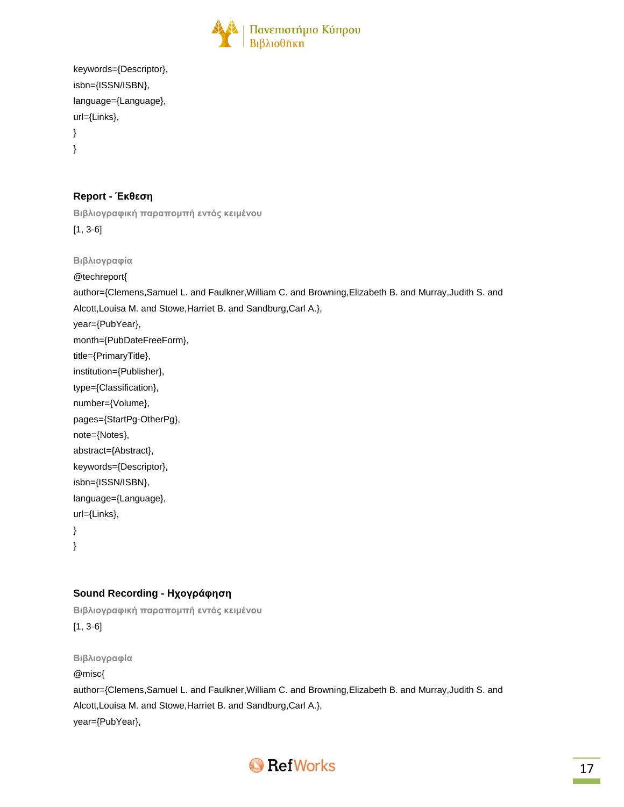

```
keywords={Descriptor},
isbn={ISSN/ISBN},
language={Language},
url={Links},
}
}
```
### **Report - Έκθεση**

**Βιβλιογραφική παραπομπή εντός κειμένου**

[1, 3-6]

**Βιβλιογραφία**

@techreport{

author={Clemens,Samuel L. and Faulkner,William C. and Browning,Elizabeth B. and Murray,Judith S. and

Alcott,Louisa M. and Stowe,Harriet B. and Sandburg,Carl A.},

year={PubYear},

month={PubDateFreeForm},

title={PrimaryTitle},

institution={Publisher},

type={Classification},

number={Volume},

pages={StartPg-OtherPg},

note={Notes},

abstract={Abstract},

keywords={Descriptor},

isbn={ISSN/ISBN},

language={Language},

url={Links}, }

}

### **Sound Recording - Ηχογράφηση**

**Βιβλιογραφική παραπομπή εντός κειμένου** [1, 3-6]

**Βιβλιογραφία** @misc{ author={Clemens,Samuel L. and Faulkner,William C. and Browning,Elizabeth B. and Murray,Judith S. and Alcott,Louisa M. and Stowe,Harriet B. and Sandburg,Carl A.}, year={PubYear},

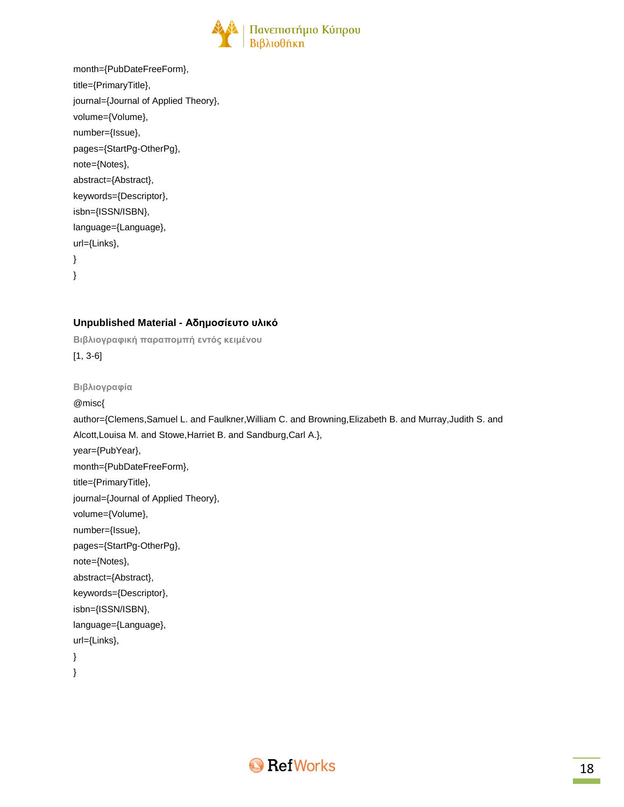

```
month={PubDateFreeForm},
title={PrimaryTitle},
journal={Journal of Applied Theory},
volume={Volume},
number={Issue},
pages={StartPg-OtherPg},
note={Notes},
abstract={Abstract},
keywords={Descriptor},
isbn={ISSN/ISBN},
language={Language},
url={Links},
}
}
```
### **Unpublished Material - Αδημοσίευτο υλικό**

```
Βιβλιογραφική παραπομπή εντός κειμένου
[1, 3-6]
Βιβλιογραφία
@misc{
author={Clemens,Samuel L. and Faulkner,William C. and Browning,Elizabeth B. and Murray,Judith S. and
Alcott,Louisa M. and Stowe,Harriet B. and Sandburg,Carl A.},
year={PubYear},
month={PubDateFreeForm},
title={PrimaryTitle},
journal={Journal of Applied Theory},
volume={Volume},
number={Issue},
pages={StartPg-OtherPg},
note={Notes},
abstract={Abstract},
keywords={Descriptor},
isbn={ISSN/ISBN},
language={Language},
url={Links},
}
}
```
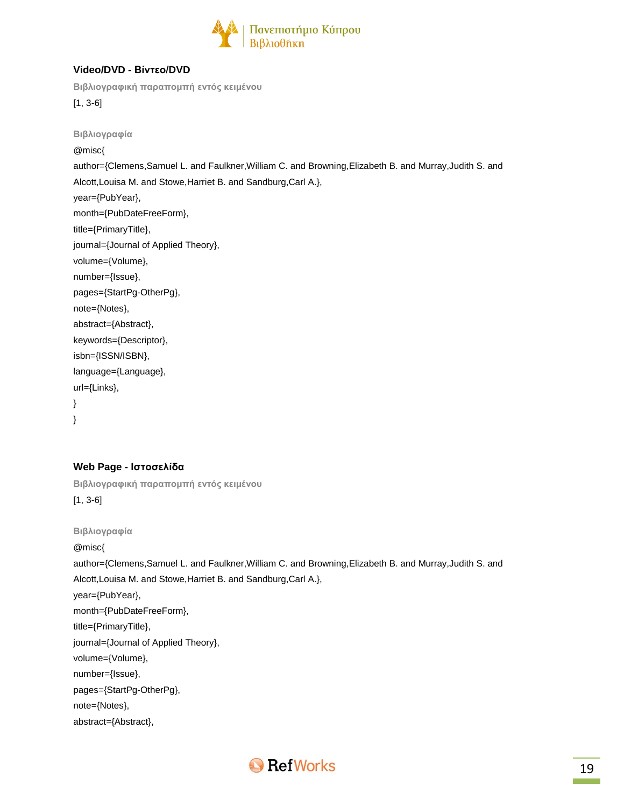

### **Video/DVD - Βίντεο/DVD**

**Βιβλιογραφική παραπομπή εντός κειμένου**

[1, 3-6]

**Βιβλιογραφία** @misc{ author={Clemens,Samuel L. and Faulkner,William C. and Browning,Elizabeth B. and Murray,Judith S. and Alcott,Louisa M. and Stowe,Harriet B. and Sandburg,Carl A.}, year={PubYear}, month={PubDateFreeForm}, title={PrimaryTitle}, journal={Journal of Applied Theory}, volume={Volume}, number={Issue}, pages={StartPg-OtherPg}, note={Notes}, abstract={Abstract}, keywords={Descriptor}, isbn={ISSN/ISBN}, language={Language}, url={Links}, }

}

### **Web Page - Ιστοσελίδα**

**Βιβλιογραφική παραπομπή εντός κειμένου** [1, 3-6]

**Βιβλιογραφία**

@misc{

author={Clemens,Samuel L. and Faulkner,William C. and Browning,Elizabeth B. and Murray,Judith S. and Alcott,Louisa M. and Stowe,Harriet B. and Sandburg,Carl A.}, year={PubYear}, month={PubDateFreeForm}, title={PrimaryTitle}, journal={Journal of Applied Theory}, volume={Volume}, number={Issue}, pages={StartPg-OtherPg}, note={Notes}, abstract={Abstract},